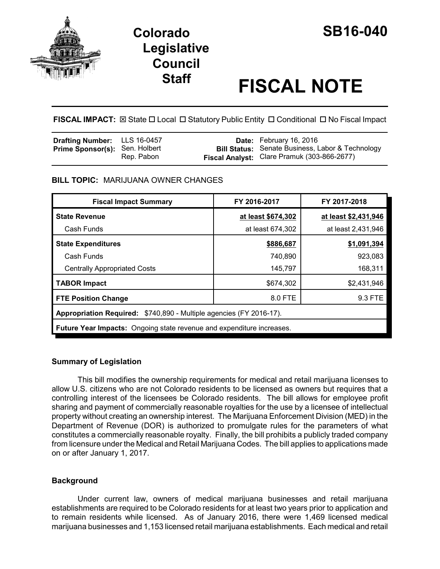

# **Staff FISCAL NOTE**

**FISCAL IMPACT:** ⊠ State □ Local □ Statutory Public Entity □ Conditional □ No Fiscal Impact

| <b>Drafting Number:</b> LLS 16-0457   |            | <b>Date:</b> February 16, 2016                          |
|---------------------------------------|------------|---------------------------------------------------------|
| <b>Prime Sponsor(s): Sen. Holbert</b> |            | <b>Bill Status:</b> Senate Business, Labor & Technology |
|                                       | Rep. Pabon | Fiscal Analyst: Clare Pramuk (303-866-2677)             |

# **BILL TOPIC:** MARIJUANA OWNER CHANGES

| <b>Fiscal Impact Summary</b>                                          | FY 2016-2017       | FY 2017-2018         |  |  |
|-----------------------------------------------------------------------|--------------------|----------------------|--|--|
| <b>State Revenue</b>                                                  | at least \$674,302 | at least \$2,431,946 |  |  |
| Cash Funds                                                            | at least 674,302   | at least 2,431,946   |  |  |
| <b>State Expenditures</b>                                             | \$886,687          | \$1,091,394          |  |  |
| Cash Funds                                                            | 740,890            | 923,083              |  |  |
| <b>Centrally Appropriated Costs</b>                                   | 145,797            | 168,311              |  |  |
| <b>TABOR Impact</b>                                                   | \$674,302          | \$2,431,946          |  |  |
| <b>FTE Position Change</b>                                            | 8.0 FTE            | 9.3 FTE              |  |  |
| Appropriation Required: \$740,890 - Multiple agencies (FY 2016-17).   |                    |                      |  |  |
| Future Year Impacts: Ongoing state revenue and expenditure increases. |                    |                      |  |  |

## **Summary of Legislation**

This bill modifies the ownership requirements for medical and retail marijuana licenses to allow U.S. citizens who are not Colorado residents to be licensed as owners but requires that a controlling interest of the licensees be Colorado residents. The bill allows for employee profit sharing and payment of commercially reasonable royalties for the use by a licensee of intellectual property without creating an ownership interest. The Marijuana Enforcement Division (MED) in the Department of Revenue (DOR) is authorized to promulgate rules for the parameters of what constitutes a commercially reasonable royalty. Finally, the bill prohibits a publicly traded company from licensure under the Medical and Retail Marijuana Codes. The bill applies to applications made on or after January 1, 2017.

# **Background**

Under current law, owners of medical marijuana businesses and retail marijuana establishments are required to be Colorado residents for at least two years prior to application and to remain residents while licensed. As of January 2016, there were 1,469 licensed medical marijuana businesses and 1,153 licensed retail marijuana establishments. Each medical and retail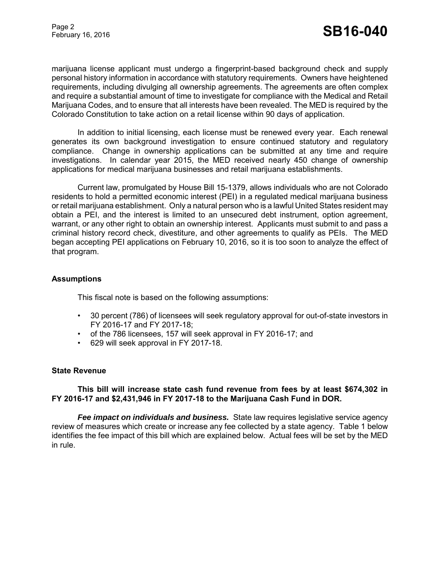marijuana license applicant must undergo a fingerprint-based background check and supply personal history information in accordance with statutory requirements. Owners have heightened requirements, including divulging all ownership agreements. The agreements are often complex and require a substantial amount of time to investigate for compliance with the Medical and Retail Marijuana Codes, and to ensure that all interests have been revealed. The MED is required by the Colorado Constitution to take action on a retail license within 90 days of application.

In addition to initial licensing, each license must be renewed every year. Each renewal generates its own background investigation to ensure continued statutory and regulatory compliance. Change in ownership applications can be submitted at any time and require investigations. In calendar year 2015, the MED received nearly 450 change of ownership applications for medical marijuana businesses and retail marijuana establishments.

Current law, promulgated by House Bill 15-1379, allows individuals who are not Colorado residents to hold a permitted economic interest (PEI) in a regulated medical marijuana business or retail marijuana establishment. Only a natural person who is a lawful United States resident may obtain a PEI, and the interest is limited to an unsecured debt instrument, option agreement, warrant, or any other right to obtain an ownership interest. Applicants must submit to and pass a criminal history record check, divestiture, and other agreements to qualify as PEIs. The MED began accepting PEI applications on February 10, 2016, so it is too soon to analyze the effect of that program.

## **Assumptions**

This fiscal note is based on the following assumptions:

- 30 percent (786) of licensees will seek regulatory approval for out-of-state investors in FY 2016-17 and FY 2017-18;
- of the 786 licensees, 157 will seek approval in FY 2016-17; and
- 629 will seek approval in FY 2017-18.

## **State Revenue**

## **This bill will increase state cash fund revenue from fees by at least \$674,302 in FY 2016-17 and \$2,431,946 in FY 2017-18 to the Marijuana Cash Fund in DOR.**

*Fee impact on individuals and business.* State law requires legislative service agency review of measures which create or increase any fee collected by a state agency. Table 1 below identifies the fee impact of this bill which are explained below. Actual fees will be set by the MED in rule.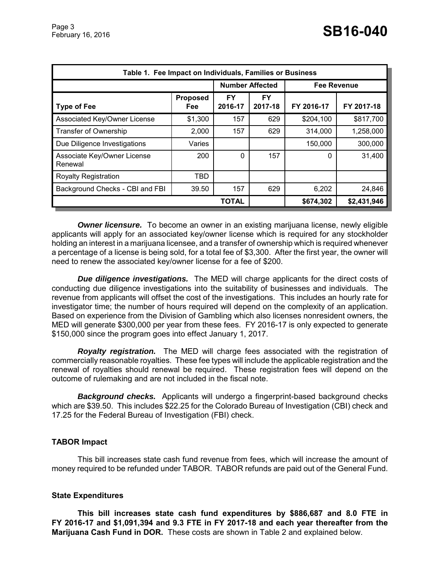| Table 1. Fee Impact on Individuals, Families or Business |                        |                        |                      |                    |             |
|----------------------------------------------------------|------------------------|------------------------|----------------------|--------------------|-------------|
|                                                          |                        | <b>Number Affected</b> |                      | <b>Fee Revenue</b> |             |
| <b>Type of Fee</b>                                       | <b>Proposed</b><br>Fee | <b>FY</b><br>2016-17   | <b>FY</b><br>2017-18 | FY 2016-17         | FY 2017-18  |
| Associated Key/Owner License                             | \$1,300                | 157                    | 629                  | \$204,100          | \$817,700   |
| Transfer of Ownership                                    | 2,000                  | 157                    | 629                  | 314,000            | 1,258,000   |
| Due Diligence Investigations                             | Varies                 |                        |                      | 150,000            | 300,000     |
| Associate Key/Owner License<br>Renewal                   | 200                    | $\mathbf{0}$           | 157                  | $\Omega$           | 31,400      |
| <b>Royalty Registration</b>                              | <b>TBD</b>             |                        |                      |                    |             |
| Background Checks - CBI and FBI                          | 39.50                  | 157                    | 629                  | 6,202              | 24,846      |
|                                                          |                        | <b>TOTAL</b>           |                      | \$674,302          | \$2,431,946 |

*Owner licensure.* To become an owner in an existing marijuana license, newly eligible applicants will apply for an associated key/owner license which is required for any stockholder holding an interest in a marijuana licensee, and a transfer of ownership which is required whenever a percentage of a license is being sold, for a total fee of \$3,300. After the first year, the owner will need to renew the associated key/owner license for a fee of \$200.

*Due diligence investigations.* The MED will charge applicants for the direct costs of conducting due diligence investigations into the suitability of businesses and individuals. The revenue from applicants will offset the cost of the investigations. This includes an hourly rate for investigator time; the number of hours required will depend on the complexity of an application. Based on experience from the Division of Gambling which also licenses nonresident owners, the MED will generate \$300,000 per year from these fees. FY 2016-17 is only expected to generate \$150,000 since the program goes into effect January 1, 2017.

*Royalty registration.* The MED will charge fees associated with the registration of commercially reasonable royalties. These fee types will include the applicable registration and the renewal of royalties should renewal be required. These registration fees will depend on the outcome of rulemaking and are not included in the fiscal note.

*Background checks.* Applicants will undergo a fingerprint-based background checks which are \$39.50. This includes \$22.25 for the Colorado Bureau of Investigation (CBI) check and 17.25 for the Federal Bureau of Investigation (FBI) check.

# **TABOR Impact**

This bill increases state cash fund revenue from fees, which will increase the amount of money required to be refunded under TABOR. TABOR refunds are paid out of the General Fund.

# **State Expenditures**

**This bill increases state cash fund expenditures by \$886,687 and 8.0 FTE in FY 2016-17 and \$1,091,394 and 9.3 FTE in FY 2017-18 and each year thereafter from the Marijuana Cash Fund in DOR.** These costs are shown in Table 2 and explained below.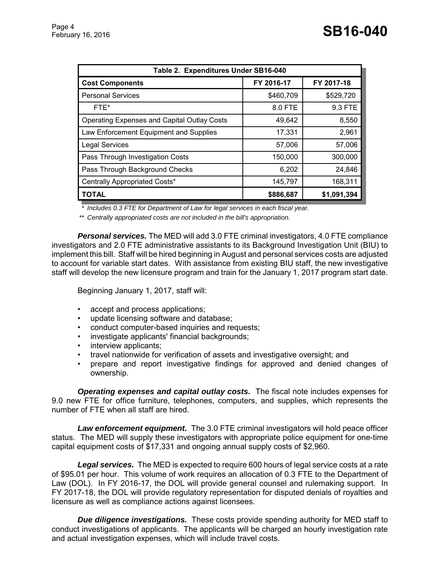| Table 2. Expenditures Under SB16-040               |            |             |  |  |
|----------------------------------------------------|------------|-------------|--|--|
| <b>Cost Components</b>                             | FY 2016-17 | FY 2017-18  |  |  |
| <b>Personal Services</b>                           | \$460,709  | \$529,720   |  |  |
| FTE*                                               | 8.0 FTE    | 9.3 FTE     |  |  |
| <b>Operating Expenses and Capital Outlay Costs</b> | 49,642     | 8,550       |  |  |
| Law Enforcement Equipment and Supplies             | 17,331     | 2,961       |  |  |
| <b>Legal Services</b>                              | 57,006     | 57,006      |  |  |
| Pass Through Investigation Costs                   | 150,000    | 300,000     |  |  |
| Pass Through Background Checks                     | 6,202      | 24,846      |  |  |
| Centrally Appropriated Costs*                      | 145,797    | 168,311     |  |  |
| <b>TOTAL</b>                                       | \$886,687  | \$1,091,394 |  |  |

*\* Includes 0.3 FTE for Department of Law for legal services in each fiscal year.*

*\*\* Centrally appropriated costs are not included in the bill's appropriation.*

*Personal services.* The MED will add 3.0 FTE criminal investigators, 4.0 FTE compliance investigators and 2.0 FTE administrative assistants to its Background Investigation Unit (BIU) to implement this bill. Staff will be hired beginning in August and personal services costs are adjusted to account for variable start dates. With assistance from existing BIU staff, the new investigative staff will develop the new licensure program and train for the January 1, 2017 program start date.

Beginning January 1, 2017, staff will:

- accept and process applications;
- update licensing software and database;
- conduct computer-based inquiries and requests;
- investigate applicants' financial backgrounds;
- interview applicants;
- travel nationwide for verification of assets and investigative oversight; and
- prepare and report investigative findings for approved and denied changes of ownership.

*Operating expenses and capital outlay costs.* The fiscal note includes expenses for 9.0 new FTE for office furniture, telephones, computers, and supplies, which represents the number of FTE when all staff are hired.

*Law enforcement equipment.* The 3.0 FTE criminal investigators will hold peace officer status. The MED will supply these investigators with appropriate police equipment for one-time capital equipment costs of \$17,331 and ongoing annual supply costs of \$2,960.

*Legal services.* The MED is expected to require 600 hours of legal service costs at a rate of \$95.01 per hour. This volume of work requires an allocation of 0.3 FTE to the Department of Law (DOL). In FY 2016-17, the DOL will provide general counsel and rulemaking support. In FY 2017-18, the DOL will provide regulatory representation for disputed denials of royalties and licensure as well as compliance actions against licensees.

*Due diligence investigations.* These costs provide spending authority for MED staff to conduct investigations of applicants. The applicants will be charged an hourly investigation rate and actual investigation expenses, which will include travel costs.